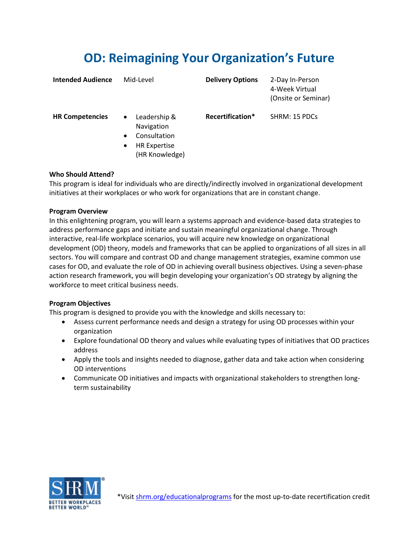# **OD: Reimagining Your Organization's Future**

| <b>Intended Audience</b> | Mid-Level                                                                                                                  | <b>Delivery Options</b> | 2-Day In-Person<br>4-Week Virtual<br>(Onsite or Seminar) |
|--------------------------|----------------------------------------------------------------------------------------------------------------------------|-------------------------|----------------------------------------------------------|
| <b>HR Competencies</b>   | Leadership &<br>$\bullet$<br>Navigation<br>Consultation<br>$\bullet$<br><b>HR Expertise</b><br>$\bullet$<br>(HR Knowledge) | Recertification*        | SHRM: 15 PDCs                                            |

# **Who Should Attend?**

This program is ideal for individuals who are directly/indirectly involved in organizational development initiatives at their workplaces or who work for organizations that are in constant change.

## **Program Overview**

In this enlightening program, you will learn a systems approach and evidence-based data strategies to address performance gaps and initiate and sustain meaningful organizational change. Through interactive, real-life workplace scenarios, you will acquire new knowledge on organizational development (OD) theory, models and frameworks that can be applied to organizations of all sizes in all sectors. You will compare and contrast OD and change management strategies, examine common use cases for OD, and evaluate the role of OD in achieving overall business objectives. Using a seven-phase action research framework, you will begin developing your organization's OD strategy by aligning the workforce to meet critical business needs.

## **Program Objectives**

This program is designed to provide you with the knowledge and skills necessary to:

- Assess current performance needs and design a strategy for using OD processes within your organization
- Explore foundational OD theory and values while evaluating types of initiatives that OD practices address
- Apply the tools and insights needed to diagnose, gather data and take action when considering OD interventions
- Communicate OD initiatives and impacts with organizational stakeholders to strengthen longterm sustainability

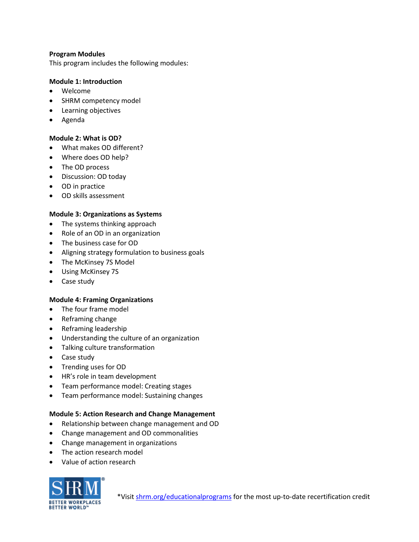## **Program Modules**

This program includes the following modules:

#### **Module 1: Introduction**

- Welcome
- SHRM competency model
- Learning objectives
- Agenda

## **Module 2: What is OD?**

- What makes OD different?
- Where does OD help?
- The OD process
- Discussion: OD today
- OD in practice
- OD skills assessment

# **Module 3: Organizations as Systems**

- The systems thinking approach
- Role of an OD in an organization
- The business case for OD
- Aligning strategy formulation to business goals
- The McKinsey 7S Model
- Using McKinsey 7S
- Case study

## **Module 4: Framing Organizations**

- The four frame model
- Reframing change
- Reframing leadership
- Understanding the culture of an organization
- Talking culture transformation
- Case study
- Trending uses for OD
- HR's role in team development
- Team performance model: Creating stages
- Team performance model: Sustaining changes

## **Module 5: Action Research and Change Management**

- Relationship between change management and OD
- Change management and OD commonalities
- Change management in organizations
- The action research model
- Value of action research